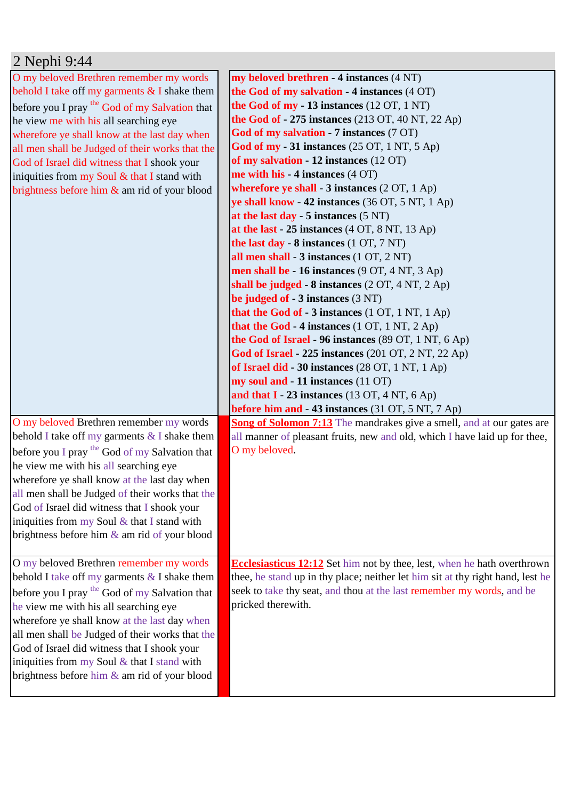| 2 Nephi 9:44                                              |                                                                                                                                          |
|-----------------------------------------------------------|------------------------------------------------------------------------------------------------------------------------------------------|
| O my beloved Brethren remember my words                   | my beloved brethren - 4 instances (4 NT)                                                                                                 |
| behold I take off my garments $&$ I shake them            | the God of my salvation - 4 instances (4 OT)                                                                                             |
| before you I pray <sup>the</sup> God of my Salvation that | the God of $my - 13$ instances (12 OT, 1 NT)                                                                                             |
| he view me with his all searching eye                     | <b>the God of - 275 instances</b> (213 OT, 40 NT, 22 Ap)                                                                                 |
| wherefore ye shall know at the last day when              | God of my salvation - 7 instances (7 OT)                                                                                                 |
| all men shall be Judged of their works that the           | <b>God of my - 31 instances</b> (25 OT, 1 NT, 5 Ap)                                                                                      |
| God of Israel did witness that I shook your               | of my salvation - 12 instances (12 OT)                                                                                                   |
| iniquities from my Soul & that I stand with               | me with his - 4 instances $(4$ OT)                                                                                                       |
| brightness before him $\&$ am rid of your blood           | wherefore ye shall $-3$ instances $(2 OT, 1 Ap)$                                                                                         |
|                                                           | ye shall know - 42 instances (36 OT, 5 NT, 1 Ap)                                                                                         |
|                                                           | at the last day $-5$ instances $(5 \text{ NT})$                                                                                          |
|                                                           | at the last $-25$ instances $(4 OT, 8 NT, 13 Ap)$                                                                                        |
|                                                           | the last day - 8 instances (1 OT, 7 NT)                                                                                                  |
|                                                           | all men shall - 3 instances (1 OT, 2 NT)                                                                                                 |
|                                                           | men shall be $-16$ instances (9 OT, 4 NT, 3 Ap)                                                                                          |
|                                                           | shall be judged - $8$ instances $(2 OT, 4 NT, 2 Ap)$                                                                                     |
|                                                           | be judged of $-3$ instances $(3 \text{ NT})$                                                                                             |
|                                                           | that the God of - 3 instances $(1 OT, 1 NT, 1 Ap)$                                                                                       |
|                                                           | that the God - 4 instances $(1 OT, 1 NT, 2 Ap)$                                                                                          |
|                                                           | the God of Israel - 96 instances (89 OT, 1 NT, 6 Ap)                                                                                     |
|                                                           | God of Israel - 225 instances (201 OT, 2 NT, 22 Ap)                                                                                      |
|                                                           | of Israel did - 30 instances (28 OT, 1 NT, 1 Ap)                                                                                         |
|                                                           | my soul and - 11 instances (11 OT)                                                                                                       |
|                                                           | and that $I - 23$ instances (13 OT, 4 NT, 6 Ap)                                                                                          |
| O my beloved Brethren remember my words                   | <b>before him and - 43 instances</b> (31 OT, 5 NT, 7 Ap)<br><b>Song of Solomon 7:13</b> The mandrakes give a smell, and at our gates are |
| behold I take off my garments $&$ I shake them            | all manner of pleasant fruits, new and old, which I have laid up for thee,                                                               |
| before you I pray the God of my Salvation that            | O my beloved.                                                                                                                            |
| he view me with his all searching eye                     |                                                                                                                                          |
| wherefore ye shall know at the last day when              |                                                                                                                                          |
| all men shall be Judged of their works that the           |                                                                                                                                          |
| God of Israel did witness that I shook your               |                                                                                                                                          |
| iniquities from my Soul $&$ that I stand with             |                                                                                                                                          |
| brightness before him $\&$ am rid of your blood           |                                                                                                                                          |
|                                                           |                                                                                                                                          |
| O my beloved Brethren remember my words                   | <b>Ecclesiasticus 12:12</b> Set him not by thee, lest, when he hath overthrown                                                           |
| behold I take off my garments $&$ I shake them            | thee, he stand up in thy place; neither let him sit at thy right hand, lest he                                                           |
| before you I pray <sup>the</sup> God of my Salvation that | seek to take thy seat, and thou at the last remember my words, and be                                                                    |
| he view me with his all searching eye                     | pricked therewith.                                                                                                                       |
| wherefore ye shall know at the last day when              |                                                                                                                                          |
| all men shall be Judged of their works that the           |                                                                                                                                          |
| God of Israel did witness that I shook your               |                                                                                                                                          |
| iniquities from my Soul $&$ that I stand with             |                                                                                                                                          |
| brightness before him & am rid of your blood              |                                                                                                                                          |
|                                                           |                                                                                                                                          |
|                                                           |                                                                                                                                          |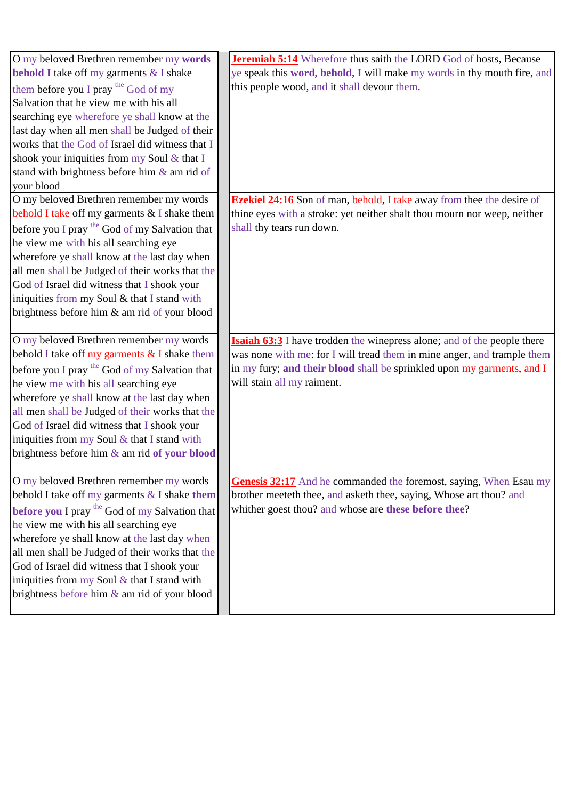| O my beloved Brethren remember my words<br><b>behold I</b> take off my garments & I shake | <b>Jeremiah 5:14</b> Wherefore thus saith the LORD God of hosts, Because<br>ye speak this word, behold, I will make my words in thy mouth fire, and |
|-------------------------------------------------------------------------------------------|-----------------------------------------------------------------------------------------------------------------------------------------------------|
| them before you I pray <sup>the</sup> God of my                                           | this people wood, and it shall devour them.                                                                                                         |
| Salvation that he view me with his all                                                    |                                                                                                                                                     |
| searching eye wherefore ye shall know at the                                              |                                                                                                                                                     |
| last day when all men shall be Judged of their                                            |                                                                                                                                                     |
| works that the God of Israel did witness that I                                           |                                                                                                                                                     |
| shook your iniquities from my Soul & that I                                               |                                                                                                                                                     |
| stand with brightness before him & am rid of                                              |                                                                                                                                                     |
| your blood                                                                                |                                                                                                                                                     |
| O my beloved Brethren remember my words                                                   | <b>Ezekiel 24:16</b> Son of man, behold, I take away from thee the desire of                                                                        |
| behold I take off my garments & I shake them                                              | thine eyes with a stroke: yet neither shalt thou mourn nor weep, neither                                                                            |
| before you I pray the God of my Salvation that                                            | shall thy tears run down.                                                                                                                           |
| he view me with his all searching eye                                                     |                                                                                                                                                     |
| wherefore ye shall know at the last day when                                              |                                                                                                                                                     |
| all men shall be Judged of their works that the                                           |                                                                                                                                                     |
| God of Israel did witness that I shook your                                               |                                                                                                                                                     |
| iniquities from my Soul & that I stand with                                               |                                                                                                                                                     |
| brightness before him & am rid of your blood                                              |                                                                                                                                                     |
|                                                                                           |                                                                                                                                                     |
| O my beloved Brethren remember my words                                                   | <b>Isaiah 63:3</b> I have trodden the winepress alone; and of the people there                                                                      |
| behold I take off my garments & I shake them                                              | was none with me: for I will tread them in mine anger, and trample them                                                                             |
| before you I pray the God of my Salvation that                                            | in my fury; and their blood shall be sprinkled upon my garments, and I                                                                              |
| he view me with his all searching eye                                                     | will stain all my raiment.                                                                                                                          |
| wherefore ye shall know at the last day when                                              |                                                                                                                                                     |
| all men shall be Judged of their works that the                                           |                                                                                                                                                     |
| God of Israel did witness that I shook your                                               |                                                                                                                                                     |
| iniquities from my Soul $&$ that I stand with                                             |                                                                                                                                                     |
| brightness before him & am rid of your blood                                              |                                                                                                                                                     |
|                                                                                           |                                                                                                                                                     |
| O my beloved Brethren remember my words                                                   | <b>Genesis 32:17</b> And he commanded the foremost, saying, When Esau my                                                                            |
| behold I take off my garments $&$ I shake them                                            | brother meeteth thee, and asketh thee, saying, Whose art thou? and                                                                                  |
| <b>before you I</b> pray the God of my Salvation that                                     | whither goest thou? and whose are these before thee?                                                                                                |
| he view me with his all searching eye                                                     |                                                                                                                                                     |
| wherefore ye shall know at the last day when                                              |                                                                                                                                                     |
| all men shall be Judged of their works that the                                           |                                                                                                                                                     |
| God of Israel did witness that I shook your                                               |                                                                                                                                                     |
| iniquities from my Soul $&$ that I stand with                                             |                                                                                                                                                     |
| brightness before him & am rid of your blood                                              |                                                                                                                                                     |
|                                                                                           |                                                                                                                                                     |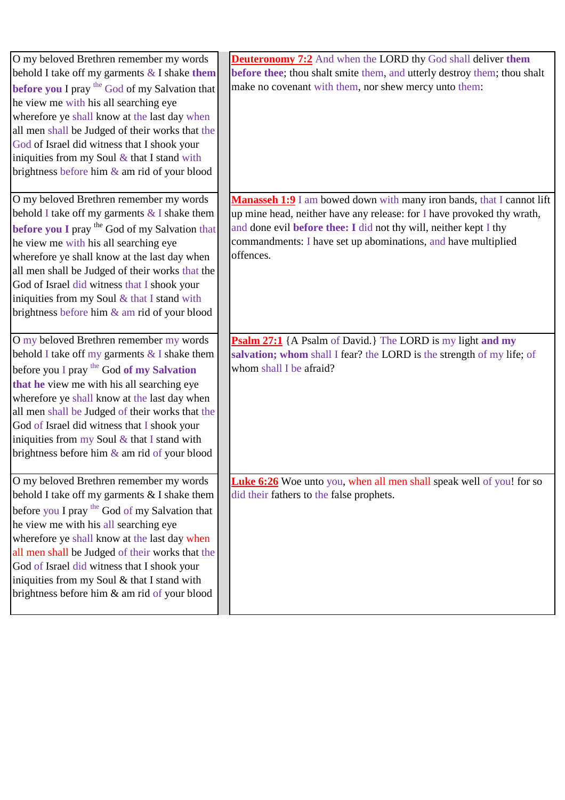| O my beloved Brethren remember my words<br>behold I take off my garments $&$ I shake them<br>before you I pray the God of my Salvation that<br>he view me with his all searching eye<br>wherefore ye shall know at the last day when<br>all men shall be Judged of their works that the<br>God of Israel did witness that I shook your<br>iniquities from my Soul $&$ that I stand with<br>brightness before him & am rid of your blood        | <b>Deuteronomy 7:2</b> And when the LORD thy God shall deliver them<br>before thee; thou shalt smite them, and utterly destroy them; thou shalt<br>make no covenant with them, nor shew mercy unto them:                                                                                                  |
|------------------------------------------------------------------------------------------------------------------------------------------------------------------------------------------------------------------------------------------------------------------------------------------------------------------------------------------------------------------------------------------------------------------------------------------------|-----------------------------------------------------------------------------------------------------------------------------------------------------------------------------------------------------------------------------------------------------------------------------------------------------------|
| O my beloved Brethren remember my words<br>behold I take off my garments $&$ I shake them<br>before you I pray the God of my Salvation that<br>he view me with his all searching eye<br>wherefore ye shall know at the last day when<br>all men shall be Judged of their works that the<br>God of Israel did witness that I shook your<br>iniquities from my Soul & that I stand with<br>brightness before him & am rid of your blood          | <b>Manasseh 1:9</b> I am bowed down with many iron bands, that I cannot lift<br>up mine head, neither have any release: for I have provoked thy wrath,<br>and done evil before thee: I did not thy will, neither kept I thy<br>commandments: I have set up abominations, and have multiplied<br>offences. |
| O my beloved Brethren remember my words<br>behold I take off my garments $&$ I shake them<br>before you I pray the God of my Salvation<br>that he view me with his all searching eye<br>wherefore ye shall know at the last day when<br>all men shall be Judged of their works that the<br>God of Israel did witness that I shook your<br>iniquities from my Soul & that I stand with<br>brightness before him & am rid of your blood          | <b>Psalm 27:1</b> {A Psalm of David.} The LORD is my light and my<br>salvation; whom shall I fear? the LORD is the strength of my life; of<br>whom shall I be afraid?                                                                                                                                     |
| O my beloved Brethren remember my words<br>behold I take off my garments & I shake them<br>before you I pray <sup>the</sup> God of my Salvation that<br>he view me with his all searching eye<br>wherefore ye shall know at the last day when<br>all men shall be Judged of their works that the<br>God of Israel did witness that I shook your<br>iniquities from my Soul & that I stand with<br>brightness before him & am rid of your blood | <b>Luke 6:26</b> Woe unto you, when all men shall speak well of you! for so<br>did their fathers to the false prophets.                                                                                                                                                                                   |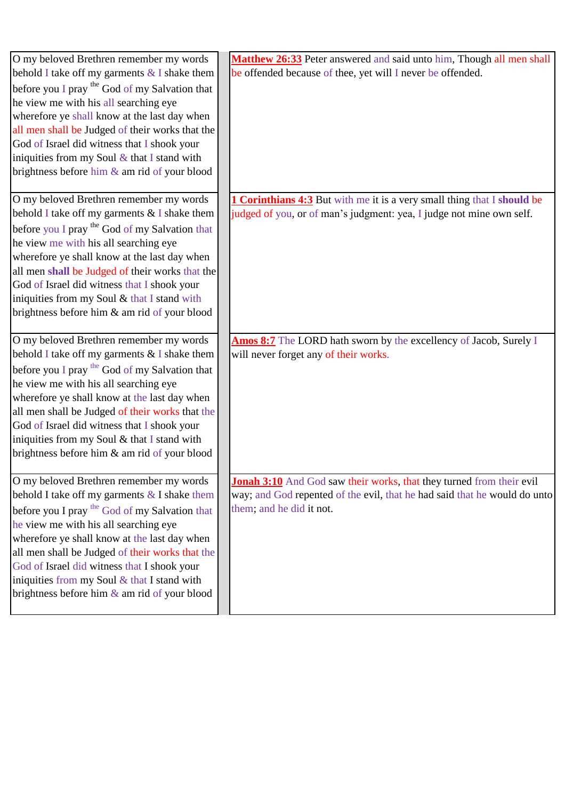| O my beloved Brethren remember my words         | Matthew 26:33 Peter answered and said unto him, Though all men shall           |
|-------------------------------------------------|--------------------------------------------------------------------------------|
| behold I take off my garments $&$ I shake them  | be offended because of thee, yet will I never be offended.                     |
| before you I pray the God of my Salvation that  |                                                                                |
| he view me with his all searching eye           |                                                                                |
| wherefore ye shall know at the last day when    |                                                                                |
| all men shall be Judged of their works that the |                                                                                |
| God of Israel did witness that I shook your     |                                                                                |
| iniquities from my Soul $&$ that I stand with   |                                                                                |
| brightness before him & am rid of your blood    |                                                                                |
| O my beloved Brethren remember my words         | <b>1 Corinthians 4:3</b> But with me it is a very small thing that I should be |
| behold I take off my garments $&$ I shake them  | judged of you, or of man's judgment: yea, I judge not mine own self.           |
| before you I pray the God of my Salvation that  |                                                                                |
| he view me with his all searching eye           |                                                                                |
| wherefore ye shall know at the last day when    |                                                                                |
| all men shall be Judged of their works that the |                                                                                |
| God of Israel did witness that I shook your     |                                                                                |
| iniquities from my Soul & that I stand with     |                                                                                |
| brightness before him & am rid of your blood    |                                                                                |
| O my beloved Brethren remember my words         | Amos 8:7 The LORD hath sworn by the excellency of Jacob, Surely I              |
| behold I take off my garments $&$ I shake them  | will never forget any of their works.                                          |
| before you I pray the God of my Salvation that  |                                                                                |
| he view me with his all searching eye           |                                                                                |
| wherefore ye shall know at the last day when    |                                                                                |
| all men shall be Judged of their works that the |                                                                                |
| God of Israel did witness that I shook your     |                                                                                |
| iniquities from my Soul & that I stand with     |                                                                                |
| brightness before him & am rid of your blood    |                                                                                |
| O my beloved Brethren remember my words         | <b>Jonah 3:10</b> And God saw their works, that they turned from their evil    |
| behold I take off my garments $&$ I shake them  | way; and God repented of the evil, that he had said that he would do unto      |
| before you I pray the God of my Salvation that  | them; and he did it not.                                                       |
| he view me with his all searching eye           |                                                                                |
| wherefore ye shall know at the last day when    |                                                                                |
| all men shall be Judged of their works that the |                                                                                |
| God of Israel did witness that I shook your     |                                                                                |
| iniquities from my Soul $&$ that I stand with   |                                                                                |
| brightness before him & am rid of your blood    |                                                                                |
|                                                 |                                                                                |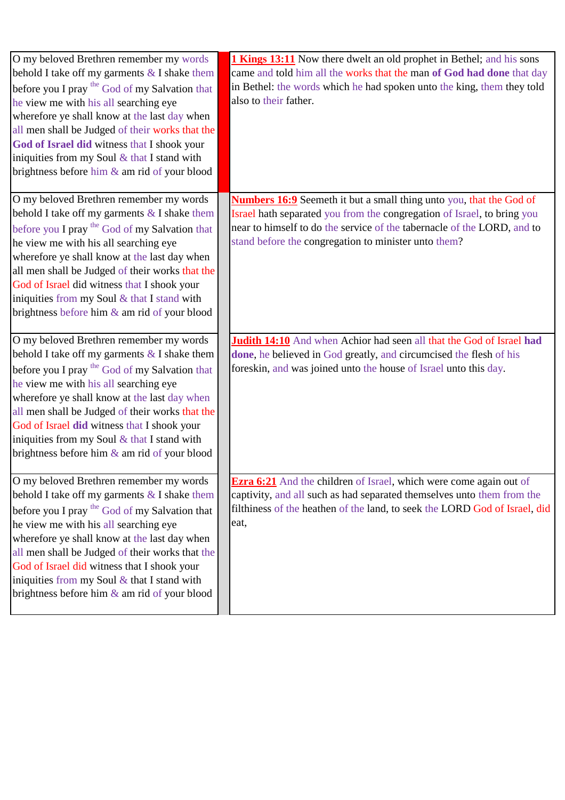| O my beloved Brethren remember my words<br>behold I take off my garments $&$ I shake them<br>before you I pray the God of my Salvation that<br>he view me with his all searching eye<br>wherefore ye shall know at the last day when<br>all men shall be Judged of their works that the<br>God of Israel did witness that I shook your<br>iniquities from my Soul $&$ that I stand with<br>brightness before him & am rid of your blood               | <b>1 Kings 13:11</b> Now there dwelt an old prophet in Bethel; and his sons<br>came and told him all the works that the man of God had done that day<br>in Bethel: the words which he had spoken unto the king, them they told<br>also to their father.                                  |
|-------------------------------------------------------------------------------------------------------------------------------------------------------------------------------------------------------------------------------------------------------------------------------------------------------------------------------------------------------------------------------------------------------------------------------------------------------|------------------------------------------------------------------------------------------------------------------------------------------------------------------------------------------------------------------------------------------------------------------------------------------|
| O my beloved Brethren remember my words<br>behold I take off my garments $&$ I shake them<br>before you I pray the God of my Salvation that<br>he view me with his all searching eye<br>wherefore ye shall know at the last day when<br>all men shall be Judged of their works that the<br>God of Israel did witness that I shook your<br>iniquities from my Soul & that I stand with<br>brightness before him $\&$ am rid of your blood              | <b>Numbers 16:9</b> Seemeth it but a small thing unto you, that the God of<br>Israel hath separated you from the congregation of Israel, to bring you<br>near to himself to do the service of the tabernacle of the LORD, and to<br>stand before the congregation to minister unto them? |
| O my beloved Brethren remember my words<br>behold I take off my garments $\&$ I shake them<br>before you I pray the God of my Salvation that<br>he view me with his all searching eye<br>wherefore ye shall know at the last day when<br>all men shall be Judged of their works that the<br>God of Israel did witness that I shook your<br>iniquities from my Soul & that I stand with<br>brightness before him $\&$ am rid of your blood             | Judith 14:10 And when Achior had seen all that the God of Israel had<br>done, he believed in God greatly, and circumcised the flesh of his<br>foreskin, and was joined unto the house of Israel unto this day.                                                                           |
| O my beloved Brethren remember my words<br>behold I take off my garments $&$ I shake them<br>before you I pray <sup>the</sup> God of my Salvation that<br>he view me with his all searching eye<br>wherefore ye shall know at the last day when<br>all men shall be Judged of their works that the<br>God of Israel did witness that I shook your<br>iniquities from my Soul $&$ that I stand with<br>brightness before him $\&$ am rid of your blood | <b>Ezra 6:21</b> And the children of Israel, which were come again out of<br>captivity, and all such as had separated themselves unto them from the<br>filthiness of the heathen of the land, to seek the LORD God of Israel, did<br>eat,                                                |